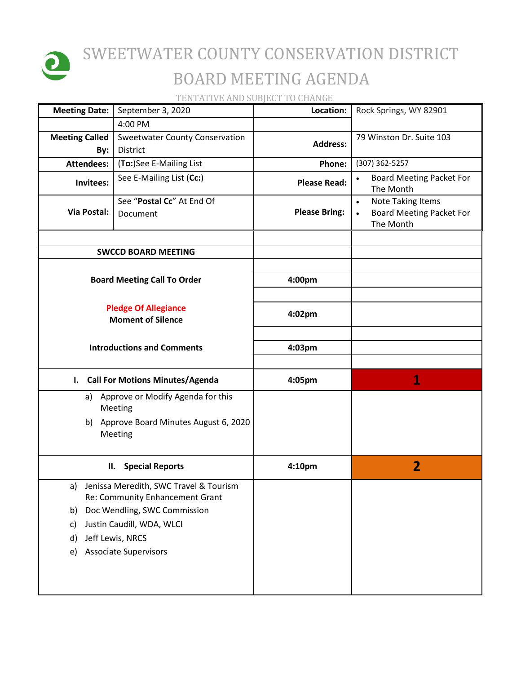

## SWEETWATER COUNTY CONSERVATION DISTRICT BOARD MEETING AGENDA

TENTATIVE AND SUBJECT TO CHANGE

| <b>Meeting Date:</b>                                    | September 3, 2020                                                         | Location:            | Rock Springs, WY 82901                                                                |
|---------------------------------------------------------|---------------------------------------------------------------------------|----------------------|---------------------------------------------------------------------------------------|
|                                                         | 4:00 PM                                                                   |                      |                                                                                       |
| <b>Meeting Called</b><br>By:                            | <b>Sweetwater County Conservation</b><br>District                         | <b>Address:</b>      | 79 Winston Dr. Suite 103                                                              |
| <b>Attendees:</b>                                       | (To:)See E-Mailing List                                                   | Phone:               | (307) 362-5257                                                                        |
| Invitees:                                               | See E-Mailing List (Cc:)                                                  | <b>Please Read:</b>  | <b>Board Meeting Packet For</b><br>$\bullet$<br>The Month                             |
| Via Postal:                                             | See "Postal Cc" At End Of<br>Document                                     | <b>Please Bring:</b> | <b>Note Taking Items</b><br>$\bullet$<br><b>Board Meeting Packet For</b><br>The Month |
|                                                         | <b>SWCCD BOARD MEETING</b>                                                |                      |                                                                                       |
|                                                         |                                                                           |                      |                                                                                       |
|                                                         | <b>Board Meeting Call To Order</b>                                        | 4:00pm               |                                                                                       |
| <b>Pledge Of Allegiance</b><br><b>Moment of Silence</b> |                                                                           | 4:02pm               |                                                                                       |
|                                                         | <b>Introductions and Comments</b>                                         |                      |                                                                                       |
|                                                         | I. Call For Motions Minutes/Agenda                                        | 4:05pm               | 1                                                                                     |
| Approve or Modify Agenda for this<br>a)<br>Meeting      |                                                                           |                      |                                                                                       |
|                                                         | b) Approve Board Minutes August 6, 2020<br>Meeting                        |                      |                                                                                       |
|                                                         | <b>Special Reports</b><br>П.                                              | 4:10pm               | $\overline{2}$                                                                        |
| a)                                                      | Jenissa Meredith, SWC Travel & Tourism<br>Re: Community Enhancement Grant |                      |                                                                                       |
|                                                         | Doc Wendling, SWC Commission<br>b)                                        |                      |                                                                                       |
| c)                                                      | Justin Caudill, WDA, WLCI                                                 |                      |                                                                                       |
| d)                                                      | Jeff Lewis, NRCS                                                          |                      |                                                                                       |
| e)                                                      | <b>Associate Supervisors</b>                                              |                      |                                                                                       |
|                                                         |                                                                           |                      |                                                                                       |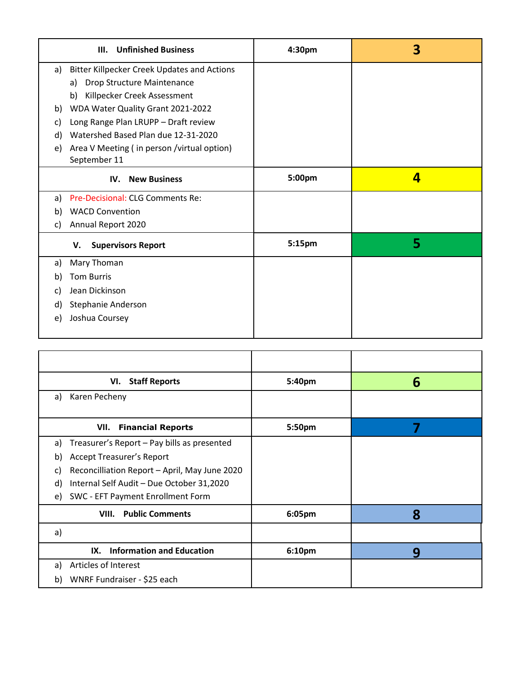| <b>Unfinished Business</b><br>III. |                                                    | 4:30pm | 3 |
|------------------------------------|----------------------------------------------------|--------|---|
| a)                                 | <b>Bitter Killpecker Creek Updates and Actions</b> |        |   |
|                                    | Drop Structure Maintenance<br>a)                   |        |   |
|                                    | Killpecker Creek Assessment<br>b)                  |        |   |
| b)                                 | WDA Water Quality Grant 2021-2022                  |        |   |
| C)                                 | Long Range Plan LRUPP - Draft review               |        |   |
| d)                                 | Watershed Based Plan due 12-31-2020                |        |   |
| e)                                 | Area V Meeting (in person / virtual option)        |        |   |
|                                    | September 11                                       |        |   |
| <b>New Business</b><br>IV.         |                                                    | 5:00pm | 4 |
| a)                                 | Pre-Decisional: CLG Comments Re:                   |        |   |
| b)                                 | <b>WACD Convention</b>                             |        |   |
| C)                                 | Annual Report 2020                                 |        |   |
|                                    | <b>Supervisors Report</b><br>V.                    | 5:15pm | 5 |
| a)                                 | Mary Thoman                                        |        |   |
| b)                                 | <b>Tom Burris</b>                                  |        |   |
| C)                                 | Jean Dickinson                                     |        |   |
| d)                                 | Stephanie Anderson                                 |        |   |
| e)                                 | Joshua Coursey                                     |        |   |
|                                    |                                                    |        |   |

| VI. Staff Reports                                   | 5:40pm | 6 |
|-----------------------------------------------------|--------|---|
| Karen Pecheny<br>a)                                 |        |   |
|                                                     |        |   |
| <b>Financial Reports</b><br>VII.                    | 5:50pm |   |
| Treasurer's Report - Pay bills as presented<br>a)   |        |   |
| Accept Treasurer's Report<br>b)                     |        |   |
| Reconcilliation Report - April, May June 2020<br>C) |        |   |
| Internal Self Audit - Due October 31,2020<br>d)     |        |   |
| SWC - EFT Payment Enrollment Form<br>e)             |        |   |
| <b>VIII.</b> Public Comments                        | 6:05pm | 8 |
| a)                                                  |        |   |
| <b>Information and Education</b><br>IX.             | 6:10pm | 9 |
| Articles of Interest<br>a)                          |        |   |
| WNRF Fundraiser - \$25 each<br>b)                   |        |   |